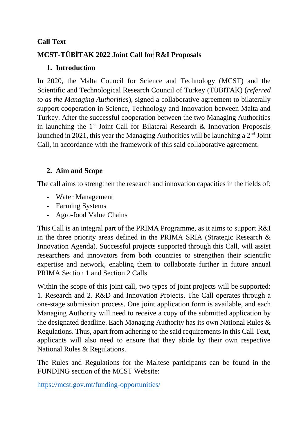#### **Call Text**

## **MCST-TÜBİTAK 2022 Joint Call for R&I Proposals**

### **1. Introduction**

In 2020, the Malta Council for Science and Technology (MCST) and the Scientific and Technological Research Council of Turkey (TÜBİTAK) (*referred to as the Managing Authorities*), signed a collaborative agreement to bilaterally support cooperation in Science, Technology and Innovation between Malta and Turkey. After the successful cooperation between the two Managing Authorities in launching the  $1<sup>st</sup>$  Joint Call for Bilateral Research & Innovation Proposals launched in 2021, this year the Managing Authorities will be launching a  $2<sup>nd</sup>$  Joint Call, in accordance with the framework of this said collaborative agreement.

### **2. Aim and Scope**

The call aims to strengthen the research and innovation capacities in the fields of:

- Water Management
- Farming Systems
- Agro-food Value Chains

This Call is an integral part of the PRIMA Programme, as it aims to support R&I in the three priority areas defined in the PRIMA SRIA (Strategic Research & Innovation Agenda). Successful projects supported through this Call, will assist researchers and innovators from both countries to strengthen their scientific expertise and network, enabling them to collaborate further in future annual PRIMA Section 1 and Section 2 Calls.

Within the scope of this joint call, two types of joint projects will be supported: 1. Research and 2. R&D and Innovation Projects. The Call operates through a one-stage submission process. One joint application form is available, and each Managing Authority will need to receive a copy of the submitted application by the designated deadline. Each Managing Authority has its own National Rules & Regulations. Thus, apart from adhering to the said requirements in this Call Text, applicants will also need to ensure that they abide by their own respective National Rules & Regulations.

The Rules and Regulations for the Maltese participants can be found in the FUNDING section of the MCST Website:

https://mcst.gov.mt/funding-opportunities/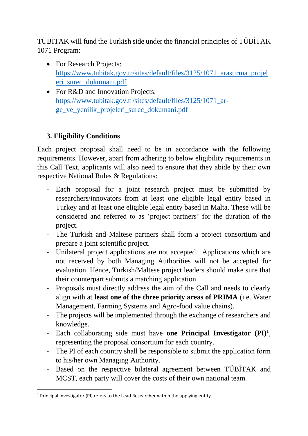TÜBİTAK will fund the Turkish side under the financial principles of TÜBİTAK 1071 Program:

- For Research Projects: [https://www.tubitak.gov.tr/sites/default/files/3125/1071\\_arastirma\\_projel](https://www.tubitak.gov.tr/sites/default/files/3125/1071_arastirma_projeleri_surec_dokumani.pdf) [eri\\_surec\\_dokumani.pdf](https://www.tubitak.gov.tr/sites/default/files/3125/1071_arastirma_projeleri_surec_dokumani.pdf)
- For R&D and Innovation Projects: [https://www.tubitak.gov.tr/sites/default/files/3125/1071\\_ar](https://www.tubitak.gov.tr/sites/default/files/3125/1071_ar-ge_ve_yenilik_projeleri_surec_dokumani.pdf)[ge\\_ve\\_yenilik\\_projeleri\\_surec\\_dokumani.pdf](https://www.tubitak.gov.tr/sites/default/files/3125/1071_ar-ge_ve_yenilik_projeleri_surec_dokumani.pdf)

## **3. Eligibility Conditions**

Each project proposal shall need to be in accordance with the following requirements. However, apart from adhering to below eligibility requirements in this Call Text, applicants will also need to ensure that they abide by their own respective National Rules & Regulations:

- Each proposal for a joint research project must be submitted by researchers/innovators from at least one eligible legal entity based in Turkey and at least one eligible legal entity based in Malta. These will be considered and referred to as 'project partners' for the duration of the project.
- The Turkish and Maltese partners shall form a project consortium and prepare a joint scientific project.
- Unilateral project applications are not accepted. Applications which are not received by both Managing Authorities will not be accepted for evaluation. Hence, Turkish/Maltese project leaders should make sure that their counterpart submits a matching application.
- Proposals must directly address the aim of the Call and needs to clearly align with at **least one of the three priority areas of PRIMA** (i.e. Water Management, Farming Systems and Agro-food value chains).
- The projects will be implemented through the exchange of researchers and knowledge.
- Each collaborating side must have **one Principal Investigator (PI)<sup>1</sup>** , representing the proposal consortium for each country.
- The PI of each country shall be responsible to submit the application form to his/her own Managing Authority.
- Based on the respective bilateral agreement between TÜBİTAK and MCST, each party will cover the costs of their own national team.

**.** 

<sup>&</sup>lt;sup>1</sup> Principal Investigator (PI) refers to the Lead Researcher within the applying entity.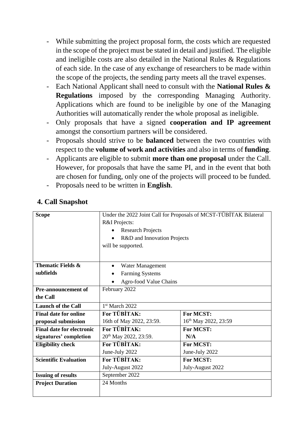- While submitting the project proposal form, the costs which are requested in the scope of the project must be stated in detail and justified. The eligible and ineligible costs are also detailed in the National Rules & Regulations of each side. In the case of any exchange of researchers to be made within the scope of the projects, the sending party meets all the travel expenses.
- Each National Applicant shall need to consult with the **National Rules & Regulations** imposed by the corresponding Managing Authority. Applications which are found to be ineligible by one of the Managing Authorities will automatically render the whole proposal as ineligible.
- Only proposals that have a signed **cooperation and IP agreement** amongst the consortium partners will be considered.
- Proposals should strive to be **balanced** between the two countries with respect to the **volume of work and activities** and also in terms of **funding**.
- Applicants are eligible to submit **more than one proposal** under the Call. However, for proposals that have the same PI, and in the event that both are chosen for funding, only one of the projects will proceed to be funded.
- Proposals need to be written in **English**.

### **4. Call Snapshot**

| <b>Scope</b>                     | Under the 2022 Joint Call for Proposals of MCST-TÜBİTAK Bilateral |                                  |  |
|----------------------------------|-------------------------------------------------------------------|----------------------------------|--|
|                                  | R&I Projects:                                                     |                                  |  |
|                                  | <b>Research Projects</b>                                          |                                  |  |
|                                  | R&D and Innovation Projects                                       |                                  |  |
|                                  | will be supported.                                                |                                  |  |
|                                  |                                                                   |                                  |  |
| <b>Thematic Fields &amp;</b>     | Water Management<br>$\bullet$                                     |                                  |  |
| subfields                        | <b>Farming Systems</b>                                            |                                  |  |
|                                  | Agro-food Value Chains                                            |                                  |  |
| <b>Pre-announcement of</b>       | February 2022                                                     |                                  |  |
| the Call                         |                                                                   |                                  |  |
|                                  |                                                                   |                                  |  |
| <b>Launch of the Call</b>        | 1st March 2022                                                    |                                  |  |
| <b>Final date for online</b>     | For TÜBİTAK:                                                      | For MCST:                        |  |
| proposal submission              | 16th of May 2022, 23:59.                                          | 16 <sup>th</sup> May 2022, 23:59 |  |
| <b>Final date for electronic</b> | <b>For TÜBİTAK:</b>                                               | For MCST:                        |  |
| signatures' completion           | 20 <sup>th</sup> May 2022, 23:59.                                 | N/A                              |  |
| <b>Eligibility check</b>         | For TÜBİTAK:                                                      | For MCST:                        |  |
|                                  | June-July 2022                                                    | June-July 2022                   |  |
| <b>Scientific Evaluation</b>     | <b>For TÜBİTAK:</b>                                               | For MCST:                        |  |
|                                  | July-August 2022                                                  | July-August 2022                 |  |
| <b>Issuing of results</b>        | September 2022                                                    |                                  |  |
| <b>Project Duration</b>          | 24 Months                                                         |                                  |  |
|                                  |                                                                   |                                  |  |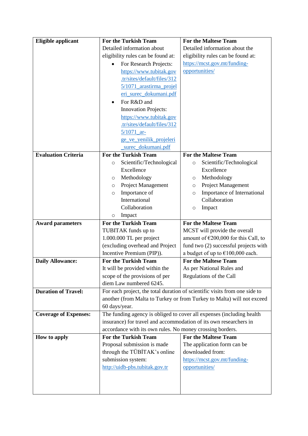| <b>Eligible applicant</b>    | <b>For the Turkish Team</b>                                       | <b>For the Maltese Team</b>                                                |
|------------------------------|-------------------------------------------------------------------|----------------------------------------------------------------------------|
|                              | Detailed information about                                        | Detailed information about the                                             |
|                              | eligibility rules can be found at:                                | eligibility rules can be found at:                                         |
|                              | For Research Projects:                                            | https://mcst.gov.mt/funding-                                               |
|                              | https://www.tubitak.gov                                           | opportunities/                                                             |
|                              | .tr/sites/default/files/312                                       |                                                                            |
|                              | 5/1071_arastirma_projel                                           |                                                                            |
|                              | eri_surec_dokumani.pdf                                            |                                                                            |
|                              | For R&D and                                                       |                                                                            |
|                              | <b>Innovation Projects:</b>                                       |                                                                            |
|                              | https://www.tubitak.gov                                           |                                                                            |
|                              | .tr/sites/default/files/312                                       |                                                                            |
|                              | $5/1071$ ar-                                                      |                                                                            |
|                              | ge ve yenilik projeleri                                           |                                                                            |
|                              | surec_dokumani.pdf                                                |                                                                            |
| <b>Evaluation Criteria</b>   | <b>For the Turkish Team</b>                                       | <b>For the Maltese Team</b>                                                |
|                              | Scientific/Technological<br>$\circ$                               | Scientific/Technological<br>$\circ$                                        |
|                              | Excellence                                                        | Excellence                                                                 |
|                              | Methodology<br>O                                                  | Methodology<br>O                                                           |
|                              | Project Management<br>O                                           | <b>Project Management</b><br>O                                             |
|                              | Importance of<br>$\circ$                                          | Importance of International<br>$\circ$                                     |
|                              | International                                                     | Collaboration                                                              |
|                              | Collaboration                                                     | Impact<br>$\circ$                                                          |
|                              | Impact<br>$\circ$                                                 |                                                                            |
| <b>Award parameters</b>      | <b>For the Turkish Team</b>                                       | <b>For the Maltese Team</b>                                                |
|                              | TUBITAK funds up to                                               | MCST will provide the overall                                              |
|                              | 1.000.000 TL per project                                          | amount of $\epsilon$ 200,000 for this Call, to                             |
|                              | (excluding overhead and Project                                   | fund two (2) successful projects with                                      |
|                              | Incentive Premium (PIP)).                                         | a budget of up to $€100,000$ each.                                         |
| <b>Daily Allowance:</b>      | <b>For the Turkish Team</b>                                       | <b>For the Maltese Team</b>                                                |
|                              | It will be provided within the                                    | As per National Rules and                                                  |
|                              | scope of the provisions of per                                    | Regulations of the Call                                                    |
|                              | diem Law numbered 6245.                                           |                                                                            |
| <b>Duration of Travel:</b>   |                                                                   | For each project, the total duration of scientific visits from one side to |
|                              |                                                                   | another (from Malta to Turkey or from Turkey to Malta) will not exceed     |
|                              | 60 days/year.                                                     |                                                                            |
| <b>Coverage of Expenses:</b> |                                                                   | The funding agency is obliged to cover all expenses (including health      |
|                              | insurance) for travel and accommodation of its own researchers in |                                                                            |
|                              | accordance with its own rules. No money crossing borders.         |                                                                            |
| How to apply                 | <b>For the Turkish Team</b>                                       | <b>For the Maltese Team</b>                                                |
|                              | Proposal submission is made                                       | The application form can be                                                |
|                              | through the TÜBİTAK's online                                      | downloaded from:                                                           |
|                              | submission system:                                                | https://mcst.gov.mt/funding-                                               |
|                              | http://uidb-pbs.tubitak.gov.tr                                    | opportunities/                                                             |
|                              |                                                                   |                                                                            |
|                              |                                                                   |                                                                            |
|                              |                                                                   |                                                                            |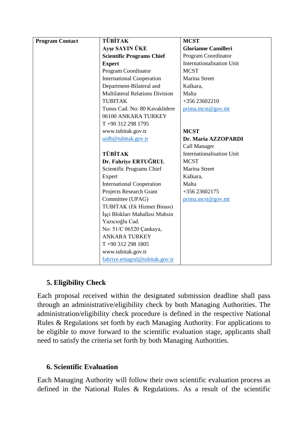| <b>Program Contact</b> | <b>TÜBİTAK</b>                         | <b>MCST</b>                      |
|------------------------|----------------------------------------|----------------------------------|
|                        | Ayşe SAYIN ÜKE                         | <b>Glorianne Camilleri</b>       |
|                        | <b>Scientific Programs Chief</b>       | Program Coordinator              |
|                        | <b>Expert</b>                          | <b>Internationalisation Unit</b> |
|                        | Program Coordinator                    | <b>MCST</b>                      |
|                        | <b>International Cooperation</b>       | Marina Street                    |
|                        | Department-Bilateral and               | Kalkara,                         |
|                        | <b>Multilateral Relations Division</b> | Malta                            |
|                        | <b>TUBITAK</b>                         | +356 23602210                    |
|                        | Tunus Cad. No: 80 Kavaklidere          | prima.mcst@gov.mt                |
|                        | 06100 ANKARA TURKEY                    |                                  |
|                        | T +90 312 298 1795                     |                                  |
|                        | www.tubitak.gov.tr                     | <b>MCST</b>                      |
|                        | uidb@tubitak.gov.tr                    | Dr. Maria AZZOPARDI              |
|                        |                                        | Call Manager                     |
|                        | <b>TÜBİTAK</b>                         | Internationalisation Unit        |
|                        | Dr. Fahriye ERTUĞRUL                   | <b>MCST</b>                      |
|                        | Scientific Programs Chief              | Marina Street                    |
|                        | Expert                                 | Kalkara,                         |
|                        | <b>International Cooperation</b>       | Malta                            |
|                        | Projects Research Grant                | +356 23602175                    |
|                        | Committee (UPAG)                       | prima.mcst@gov.mt                |
|                        | TUBITAK (Ek Hizmet Binası)             |                                  |
|                        | İşçi Blokları Mahallesi Muhsin         |                                  |
|                        | Yazıcıoğlu Cad.                        |                                  |
|                        | No: 51/C 06520 Çankaya,                |                                  |
|                        | <b>ANKARA TURKEY</b>                   |                                  |
|                        | T+90 312 298 1805                      |                                  |
|                        | www.tubitak.gov.tr                     |                                  |
|                        | fahriye.ertugrul@tubitak.gov.tr        |                                  |

# **5. Eligibility Check**

Each proposal received within the designated submission deadline shall pass through an administrative/eligibility check by both Managing Authorities. The administration/eligibility check procedure is defined in the respective National Rules & Regulations set forth by each Managing Authority. For applications to be eligible to move forward to the scientific evaluation stage, applicants shall need to satisfy the criteria set forth by both Managing Authorities.

### **6. Scientific Evaluation**

Each Managing Authority will follow their own scientific evaluation process as defined in the National Rules & Regulations. As a result of the scientific